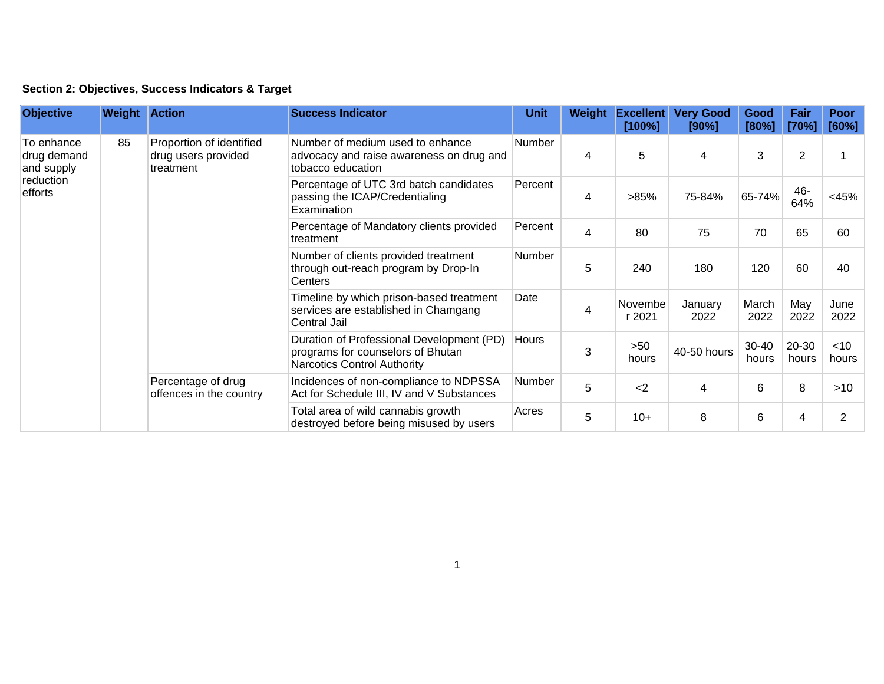## **Section 2: Objectives, Success Indicators & Target**

| <b>Objective</b>                                                | <b>Weight Action</b> |                                                              | <b>Success Indicator</b>                                                                                             | <b>Unit</b> | Weight | <b>Excellent</b><br>[100%] | <b>Very Good</b><br>[90%] | Good<br>[80%]  | Fair<br>[70%]  | Poor<br>[60%]   |
|-----------------------------------------------------------------|----------------------|--------------------------------------------------------------|----------------------------------------------------------------------------------------------------------------------|-------------|--------|----------------------------|---------------------------|----------------|----------------|-----------------|
| To enhance<br>drug demand<br>and supply<br>reduction<br>efforts | 85                   | Proportion of identified<br>drug users provided<br>treatment | Number of medium used to enhance<br>advocacy and raise awareness on drug and<br>tobacco education                    | Number      | 4      | 5                          | $\overline{4}$            | 3              | $\overline{2}$ |                 |
|                                                                 |                      |                                                              | Percentage of UTC 3rd batch candidates<br>passing the ICAP/Credentialing<br>Examination                              | Percent     | 4      | >85%                       | 75-84%                    | 65-74%         | 46-<br>64%     | $<$ 45%         |
|                                                                 |                      |                                                              | Percentage of Mandatory clients provided<br>treatment                                                                | Percent     | 4      | 80                         | 75                        | 70             | 65             | 60              |
|                                                                 |                      |                                                              | Number of clients provided treatment<br>through out-reach program by Drop-In<br>Centers                              | Number      | 5      | 240                        | 180                       | 120            | 60             | 40              |
|                                                                 |                      |                                                              | Timeline by which prison-based treatment<br>services are established in Chamgang<br>Central Jail                     | Date        | 4      | Novembe<br>r 2021          | January<br>2022           | March<br>2022  | May<br>2022    | June<br>2022    |
|                                                                 |                      |                                                              | Duration of Professional Development (PD)<br>programs for counselors of Bhutan<br><b>Narcotics Control Authority</b> | Hours       | 3      | >50<br>hours               | 40-50 hours               | 30-40<br>hours | 20-30<br>hours | $<$ 10<br>hours |
|                                                                 |                      | Percentage of drug<br>offences in the country                | Incidences of non-compliance to NDPSSA<br>Act for Schedule III, IV and V Substances                                  | Number      | 5      | $2$                        | 4                         | 6              | 8              | $>10$           |
|                                                                 |                      |                                                              | Total area of wild cannabis growth<br>destroyed before being misused by users                                        | Acres       | 5      | $10+$                      | 8                         | 6              | 4              | 2               |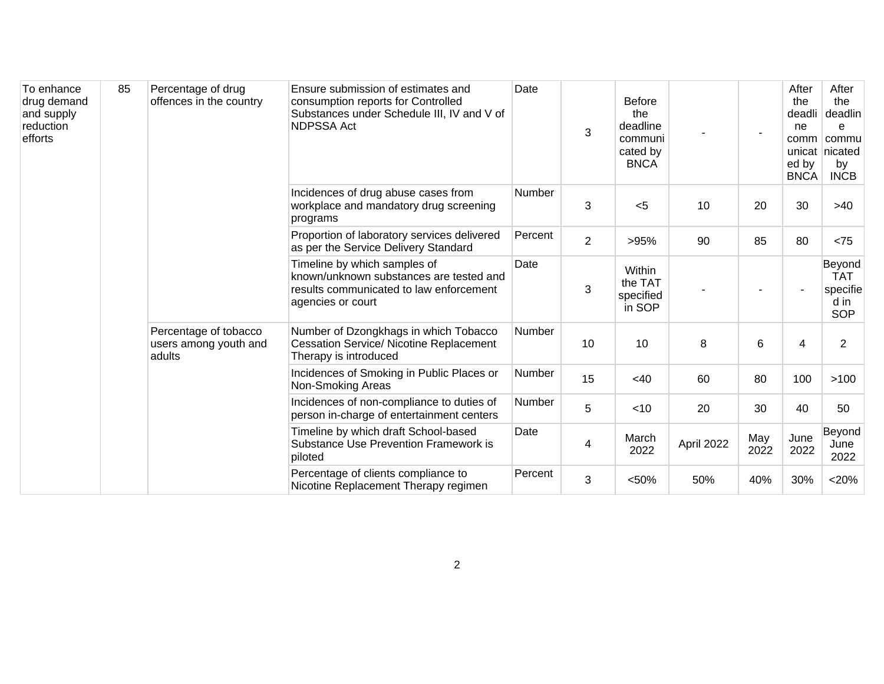| To enhance<br>drug demand<br>and supply<br>reduction<br>efforts | 85 | Percentage of drug<br>offences in the country            | Ensure submission of estimates and<br>consumption reports for Controlled<br>Substances under Schedule III, IV and V of<br><b>NDPSSA Act</b> | Date    | 3  | <b>Before</b><br>the<br>deadline<br>communi<br>cated by<br><b>BNCA</b> |            | $\overline{\phantom{a}}$ | After<br>the<br>deadli<br>ne<br>comm<br>ed by<br><b>BNCA</b> | After<br>the<br>deadlin<br>e<br>commu<br>unicat nicated<br>by<br><b>INCB</b> |
|-----------------------------------------------------------------|----|----------------------------------------------------------|---------------------------------------------------------------------------------------------------------------------------------------------|---------|----|------------------------------------------------------------------------|------------|--------------------------|--------------------------------------------------------------|------------------------------------------------------------------------------|
|                                                                 |    |                                                          | Incidences of drug abuse cases from<br>workplace and mandatory drug screening<br>programs                                                   | Number  | 3  | < 5                                                                    | 10         | 20                       | 30                                                           | >40                                                                          |
|                                                                 |    |                                                          | Proportion of laboratory services delivered<br>as per the Service Delivery Standard                                                         | Percent | 2  | >95%                                                                   | 90         | 85                       | 80                                                           | < 75                                                                         |
|                                                                 |    |                                                          | Timeline by which samples of<br>known/unknown substances are tested and<br>results communicated to law enforcement<br>agencies or court     | Date    | 3  | Within<br>the TAT<br>specified<br>in SOP                               |            |                          |                                                              | Beyond<br><b>TAT</b><br>specifie<br>d in<br><b>SOP</b>                       |
|                                                                 |    | Percentage of tobacco<br>users among youth and<br>adults | Number of Dzongkhags in which Tobacco<br><b>Cessation Service/ Nicotine Replacement</b><br>Therapy is introduced                            | Number  | 10 | 10                                                                     | 8          | 6                        | 4                                                            | $\overline{2}$                                                               |
|                                                                 |    |                                                          | Incidences of Smoking in Public Places or<br>Non-Smoking Areas                                                                              | Number  | 15 | <40                                                                    | 60         | 80                       | 100                                                          | >100                                                                         |
|                                                                 |    |                                                          | Incidences of non-compliance to duties of<br>person in-charge of entertainment centers                                                      | Number  | 5  | < 10                                                                   | 20         | 30                       | 40                                                           | 50                                                                           |
|                                                                 |    |                                                          | Timeline by which draft School-based<br>Substance Use Prevention Framework is<br>piloted                                                    | Date    | 4  | March<br>2022                                                          | April 2022 | May<br>2022              | June<br>2022                                                 | Beyond<br>June<br>2022                                                       |
|                                                                 |    |                                                          | Percentage of clients compliance to<br>Nicotine Replacement Therapy regimen                                                                 | Percent | 3  | < 50%                                                                  | 50%        | 40%                      | 30%                                                          | $<$ 20%                                                                      |